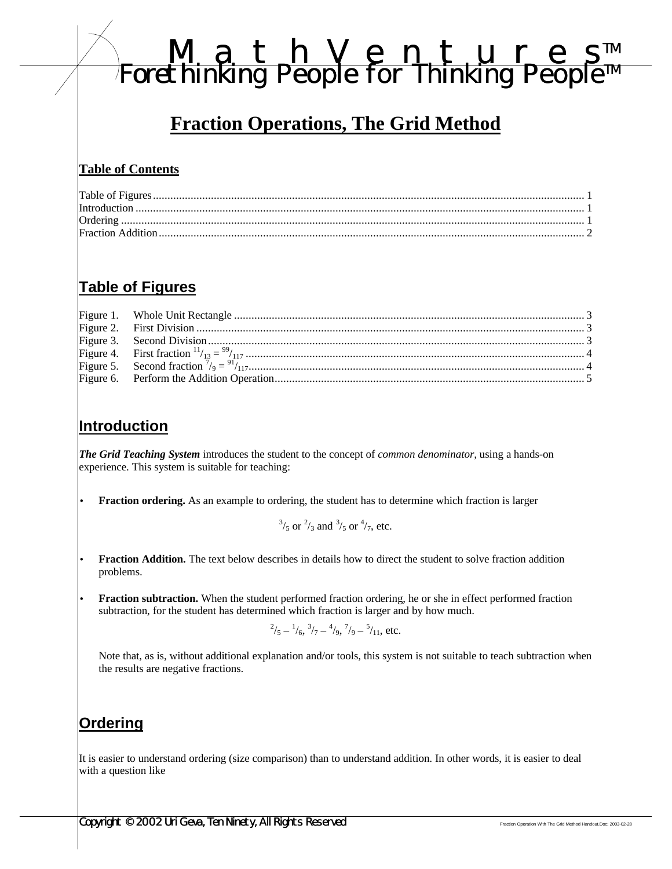# *MathVenture s TM Forethinking People for Thinking People TM*

## **Fraction Operations, The Grid Method**

#### **Table of Contents**

## **Table of Figures**

#### **Introduction**

*The Grid Teaching System* introduces the student to the concept of *common denominator,* using a hands-on experience. This system is suitable for teaching:

• **Fraction ordering.** As an example to ordering, the student has to determine which fraction is larger

 $^{3}/_{5}$  or  $^{2}/_{3}$  and  $^{3}/_{5}$  or  $^{4}/_{7}$ , etc.

**Fraction Addition.** The text below describes in details how to direct the student to solve fraction addition problems.

• **Fraction subtraction.** When the student performed fraction ordering, he or she in effect performed fraction subtraction, for the student has determined which fraction is larger and by how much.

$$
^{2}/_{5} - ^{1}/_{6}, ^{3}/_{7} - ^{4}/_{9}, ^{7}/_{9} - ^{5}/_{11}, \text{ etc.}
$$

Note that, as is, without additional explanation and/or tools, this system is not suitable to teach subtraction when the results are negative fractions.

#### **Ordering**

It is easier to understand ordering (size comparison) than to understand addition. In other words, it is easier to deal with a question like

**Copyright © 2002 Uri Geva, Ten Ninety, All Rights Reserved** Fraction Operation With The Grid Method Handout.Doc; 2003-02-28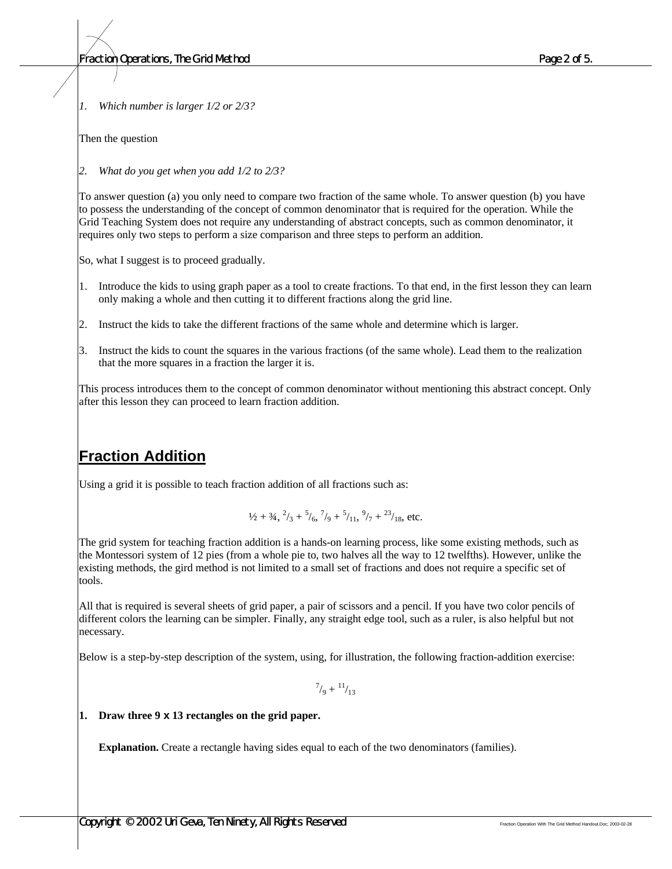*1. Which number is larger 1/2 or 2/3?*

Then the question

*2. What do you get when you add 1/2 to 2/3?*

To answer question (a) you only need to compare two fraction of the same whole. To answer question (b) you have to possess the understanding of the concept of common denominator that is required for the operation. While the Grid Teaching System does not require any understanding of abstract concepts, such as common denominator, it requires only two steps to perform a size comparison and three steps to perform an addition.

So, what I suggest is to proceed gradually.

- 1. Introduce the kids to using graph paper as a tool to create fractions. To that end, in the first lesson they can learn only making a whole and then cutting it to different fractions along the grid line.
- 2. Instruct the kids to take the different fractions of the same whole and determine which is larger.
- 3. Instruct the kids to count the squares in the various fractions (of the same whole). Lead them to the realization that the more squares in a fraction the larger it is.

This process introduces them to the concept of common denominator without mentioning this abstract concept. Only after this lesson they can proceed to learn fraction addition.

### **Fraction Addition**

Using a grid it is possible to teach fraction addition of all fractions such as:

$$
\frac{1}{2} + \frac{3}{4}, \frac{2}{3} + \frac{5}{6}, \frac{7}{9} + \frac{5}{11}, \frac{9}{7} + \frac{23}{18}, \text{ etc.}
$$

The grid system for teaching fraction addition is a hands-on learning process, like some existing methods, such as the Montessori system of 12 pies (from a whole pie to, two halves all the way to 12 twelfths). However, unlike the existing methods, the gird method is not limited to a small set of fractions and does not require a specific set of tools.

All that is required is several sheets of grid paper, a pair of scissors and a pencil. If you have two color pencils of different colors the learning can be simpler. Finally, any straight edge tool, such as a ruler, is also helpful but not necessary.

Below is a step-by-step description of the system, using, for illustration, the following fraction-addition exercise:

 $^{7}/_9+^{11}/_{13}$ 

#### **1. Draw three 9 x 13 rectangles on the grid paper.**

**Explanation.** Create a rectangle having sides equal to each of the two denominators (families).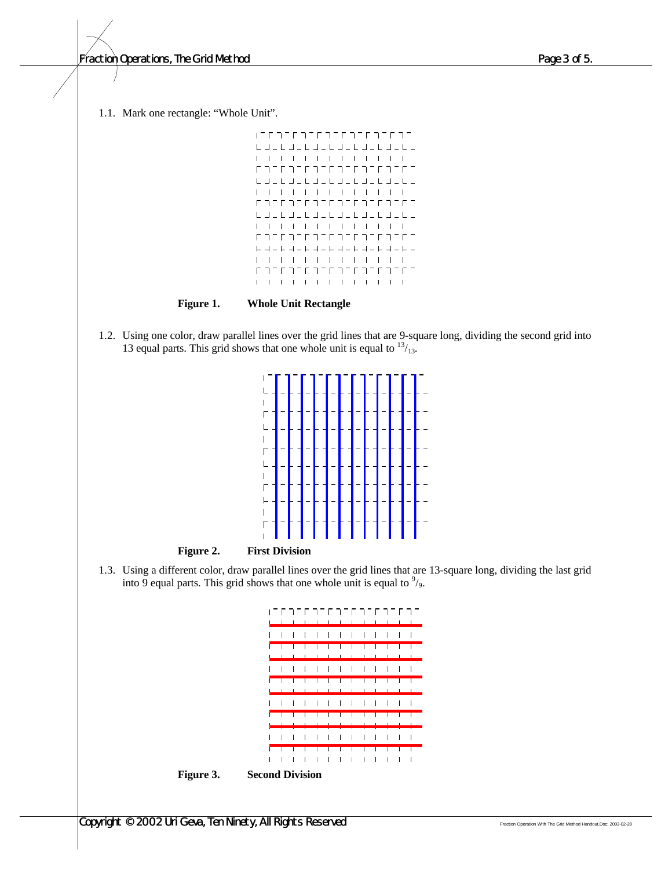*Fraction Operations, The Grid Method Page 3 of 5.*

1.1. Mark one rectangle: "Whole Unit".



**Figure 1. Whole Unit Rectangle**

1.2. Using one color, draw parallel lines over the grid lines that are 9-square long, dividing the second grid into 13 equal parts. This grid shows that one whole unit is equal to  $13/13$ .



1.3. Using a different color, draw parallel lines over the grid lines that are 13-square long, dividing the last grid into 9 equal parts. This grid shows that one whole unit is equal to  $\frac{9}{9}$ .



**Figure 3. Second Division**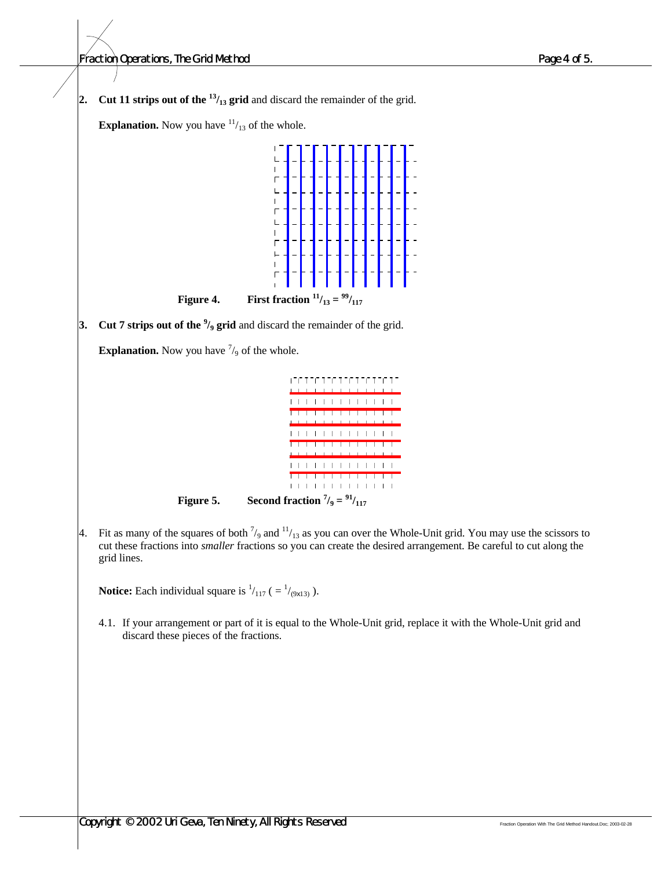**2. Cut 11 strips out of the**  $\frac{13}{13}$  **grid and discard the remainder of the grid. Explanation.** Now you have  $\frac{11}{13}$  of the whole.  $\overline{1}$  $\mathsf L$  $\mathbf{I}$  $\overline{1}$  $\overline{L}$  $\overline{\phantom{a}}$  $\Gamma$  $\overline{1}$ **Figure 4. First fraction**  $^{11}/_{13} = {^{99}}/_{117}$ **3. Cut 7 strips out of the <sup>9</sup> /9 grid** and discard the remainder of the grid. **Explanation.** Now you have  $\frac{7}{9}$  of the whole. דהר ההרה הרה הרה הרה ההו  $\mathbf{I}$ . . . . . . . . .  $1 - 1 - 1 - 1 - 1 - 1$  $\mathbf{I}$  $\mathbf{I}$ **Figure 5. Second fraction**  $\frac{7}{9} = \frac{91}{117}$ 4. Fit as many of the squares of both  $\frac{7}{9}$  and  $\frac{11}{13}$  as you can over the Whole-Unit grid. You may use the scissors to cut these fractions into *smaller* fractions so you can create the desired arrangement. Be careful to cut along the grid lines.

**Notice:** Each individual square is  $\frac{1}{117}$  ( $= \frac{1}{9813}$ ).

4.1. If your arrangement or part of it is equal to the Whole-Unit grid, replace it with the Whole-Unit grid and discard these pieces of the fractions.